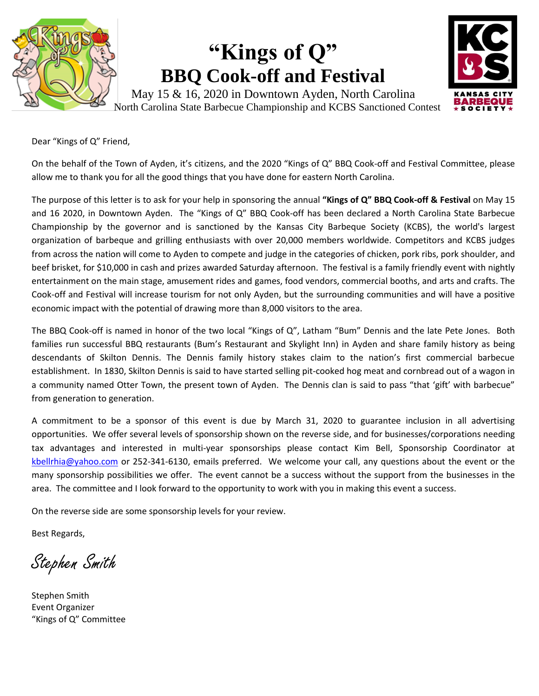

## **"Kings of Q" BBQ Cook-off and Festival**



May 15 & 16, 2020 in Downtown Ayden, North Carolina North Carolina State Barbecue Championship and KCBS Sanctioned Contest

Dear "Kings of Q" Friend,

On the behalf of the Town of Ayden, it's citizens, and the 2020 "Kings of Q" BBQ Cook-off and Festival Committee, please allow me to thank you for all the good things that you have done for eastern North Carolina.

The purpose of this letter is to ask for your help in sponsoring the annual **"Kings of Q" BBQ Cook-off & Festival** on May 15 and 16 2020, in Downtown Ayden. The "Kings of Q" BBQ Cook-off has been declared a North Carolina State Barbecue Championship by the governor and is sanctioned by the Kansas City Barbeque Society (KCBS), the world's largest organization of barbeque and grilling enthusiasts with over 20,000 members worldwide. Competitors and KCBS judges from across the nation will come to Ayden to compete and judge in the categories of chicken, pork ribs, pork shoulder, and beef brisket, for \$10,000 in cash and prizes awarded Saturday afternoon. The festival is a family friendly event with nightly entertainment on the main stage, amusement rides and games, food vendors, commercial booths, and arts and crafts. The Cook-off and Festival will increase tourism for not only Ayden, but the surrounding communities and will have a positive economic impact with the potential of drawing more than 8,000 visitors to the area.

The BBQ Cook-off is named in honor of the two local "Kings of Q", Latham "Bum" Dennis and the late Pete Jones. Both families run successful BBQ restaurants (Bum's Restaurant and Skylight Inn) in Ayden and share family history as being descendants of Skilton Dennis. The Dennis family history stakes claim to the nation's first commercial barbecue establishment. In 1830, Skilton Dennis is said to have started selling pit-cooked hog meat and cornbread out of a wagon in a community named Otter Town, the present town of Ayden. The Dennis clan is said to pass "that 'gift' with barbecue" from generation to generation.

A commitment to be a sponsor of this event is due by March 31, 2020 to guarantee inclusion in all advertising opportunities. We offer several levels of sponsorship shown on the reverse side, and for businesses/corporations needing tax advantages and interested in multi-year sponsorships please contact Kim Bell, Sponsorship Coordinator at [kbellrhia@yahoo.com](mailto:kbellrhia@yahoo.com) or 252-341-6130, emails preferred. We welcome your call, any questions about the event or the many sponsorship possibilities we offer. The event cannot be a success without the support from the businesses in the area. The committee and I look forward to the opportunity to work with you in making this event a success.

On the reverse side are some sponsorship levels for your review.

Best Regards,

Stephen Smith

Stephen Smith Event Organizer "Kings of Q" Committee